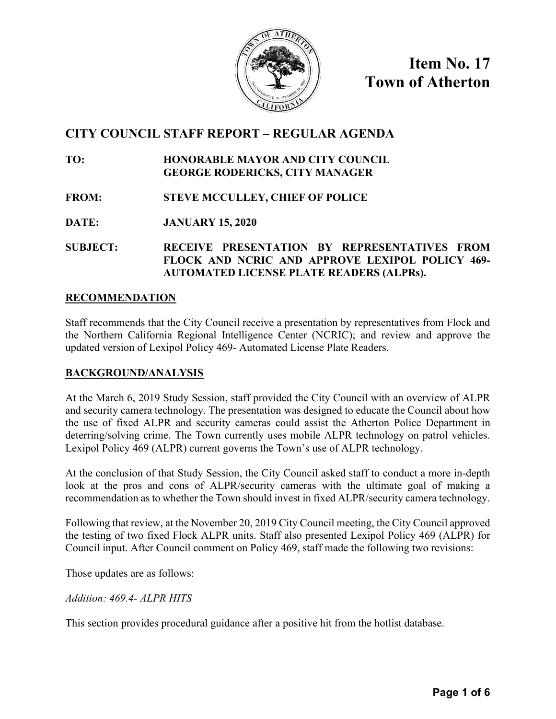

**Item No. 17 Town of Atherton** 

# **CITY COUNCIL STAFF REPORT – REGULAR AGENDA**

**TO: HONORABLE MAYOR AND CITY COUNCIL GEORGE RODERICKS, CITY MANAGER**

**FROM: STEVE MCCULLEY, CHIEF OF POLICE**

**DATE: JANUARY 15, 2020**

**SUBJECT: RECEIVE PRESENTATION BY REPRESENTATIVES FROM FLOCK AND NCRIC AND APPROVE LEXIPOL POLICY 469- AUTOMATED LICENSE PLATE READERS (ALPRs).** 

## **RECOMMENDATION**

Staff recommends that the City Council receive a presentation by representatives from Flock and the Northern California Regional Intelligence Center (NCRIC); and review and approve the updated version of Lexipol Policy 469- Automated License Plate Readers.

#### **BACKGROUND/ANALYSIS**

At the March 6, 2019 Study Session, staff provided the City Council with an overview of ALPR and security camera technology. The presentation was designed to educate the Council about how the use of fixed ALPR and security cameras could assist the Atherton Police Department in deterring/solving crime. The Town currently uses mobile ALPR technology on patrol vehicles. Lexipol Policy 469 (ALPR) current governs the Town's use of ALPR technology.

At the conclusion of that Study Session, the City Council asked staff to conduct a more in-depth look at the pros and cons of ALPR/security cameras with the ultimate goal of making a recommendation as to whether the Town should invest in fixed ALPR/security camera technology.

Following that review, at the November 20, 2019 City Council meeting, the City Council approved the testing of two fixed Flock ALPR units. Staff also presented Lexipol Policy 469 (ALPR) for Council input. After Council comment on Policy 469, staff made the following two revisions:

Those updates are as follows:

*Addition: 469.4- ALPR HITS* 

This section provides procedural guidance after a positive hit from the hotlist database.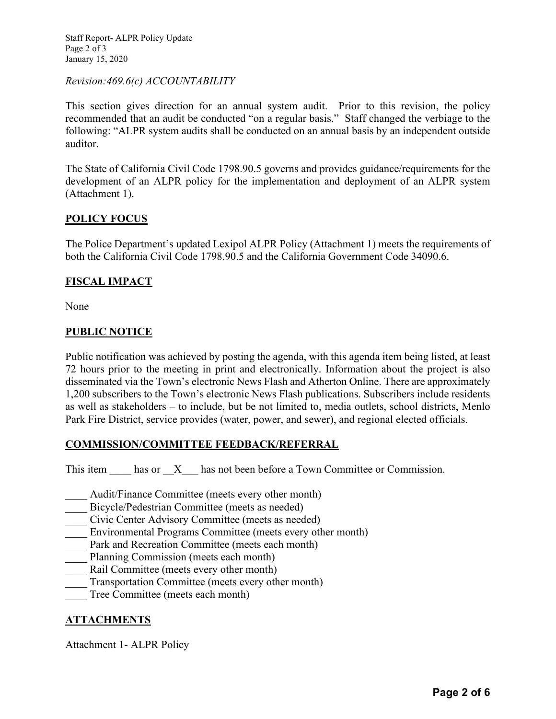Staff Report- ALPR Policy Update Page 2 of 3 January 15, 2020

#### *Revision:469.6(c) ACCOUNTABILITY*

This section gives direction for an annual system audit. Prior to this revision, the policy recommended that an audit be conducted "on a regular basis." Staff changed the verbiage to the following: "ALPR system audits shall be conducted on an annual basis by an independent outside auditor.

The State of California Civil Code 1798.90.5 governs and provides guidance/requirements for the development of an ALPR policy for the implementation and deployment of an ALPR system (Attachment 1).

## **POLICY FOCUS**

The Police Department's updated Lexipol ALPR Policy (Attachment 1) meets the requirements of both the California Civil Code 1798.90.5 and the California Government Code 34090.6.

## **FISCAL IMPACT**

None

#### **PUBLIC NOTICE**

Public notification was achieved by posting the agenda, with this agenda item being listed, at least 72 hours prior to the meeting in print and electronically. Information about the project is also disseminated via the Town's electronic News Flash and Atherton Online. There are approximately 1,200 subscribers to the Town's electronic News Flash publications. Subscribers include residents as well as stakeholders – to include, but be not limited to, media outlets, school districts, Menlo Park Fire District, service provides (water, power, and sewer), and regional elected officials.

## **COMMISSION/COMMITTEE FEEDBACK/REFERRAL**

This item \_\_\_\_\_\_ has or \_\_X\_\_\_\_ has not been before a Town Committee or Commission.

- Audit/Finance Committee (meets every other month)
- \_\_\_\_ Bicycle/Pedestrian Committee (meets as needed)
- \_\_\_\_ Civic Center Advisory Committee (meets as needed)
- Environmental Programs Committee (meets every other month)
- Park and Recreation Committee (meets each month)
- Planning Commission (meets each month)
- Rail Committee (meets every other month)
- Transportation Committee (meets every other month)
- Tree Committee (meets each month)

## **ATTACHMENTS**

Attachment 1- ALPR Policy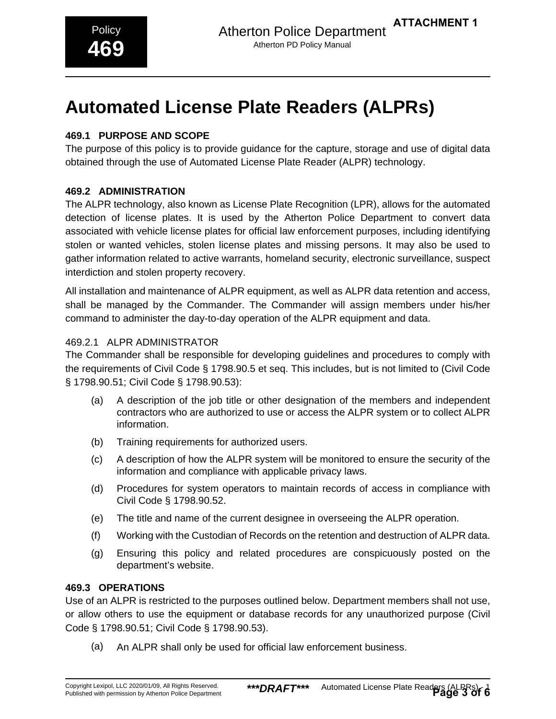**ATTACHMENT 1**

# **469.1 PURPOSE AND SCOPE**

The purpose of this policy is to provide guidance for the capture, storage and use of digital data obtained through the use of Automated License Plate Reader (ALPR) technology.

## **469.2 ADMINISTRATION**

The ALPR technology, also known as License Plate Recognition (LPR), allows for the automated detection of license plates. It is used by the Atherton Police Department to convert data associated with vehicle license plates for official law enforcement purposes, including identifying stolen or wanted vehicles, stolen license plates and missing persons. It may also be used to gather information related to active warrants, homeland security, electronic surveillance, suspect interdiction and stolen property recovery.

All installation and maintenance of ALPR equipment, as well as ALPR data retention and access, shall be managed by the Commander. The Commander will assign members under his/her command to administer the day-to-day operation of the ALPR equipment and data.

## 469.2.1 ALPR ADMINISTRATOR

The Commander shall be responsible for developing guidelines and procedures to comply with the requirements of Civil Code § 1798.90.5 et seq. This includes, but is not limited to (Civil Code § 1798.90.51; Civil Code § 1798.90.53):

- (a) A description of the job title or other designation of the members and independent contractors who are authorized to use or access the ALPR system or to collect ALPR information.
- (b) Training requirements for authorized users.
- (c) A description of how the ALPR system will be monitored to ensure the security of the information and compliance with applicable privacy laws.
- (d) Procedures for system operators to maintain records of access in compliance with Civil Code § 1798.90.52.
- (e) The title and name of the current designee in overseeing the ALPR operation.
- (f) Working with the Custodian of Records on the retention and destruction of ALPR data.
- (g) Ensuring this policy and related procedures are conspicuously posted on the department's website.

## **469.3 OPERATIONS**

Use of an ALPR is restricted to the purposes outlined below. Department members shall not use, or allow others to use the equipment or database records for any unauthorized purpose (Civil Code § 1798.90.51; Civil Code § 1798.90.53).

(a) An ALPR shall only be used for official law enforcement business.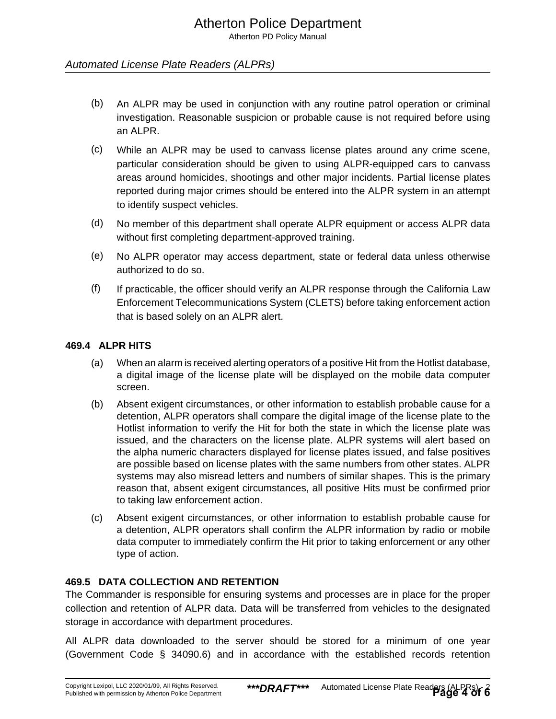Atherton PD Policy Manual

## Automated License Plate Readers (ALPRs)

- (b) An ALPR may be used in conjunction with any routine patrol operation or criminal investigation. Reasonable suspicion or probable cause is not required before using an ALPR.
- (c) While an ALPR may be used to canvass license plates around any crime scene, particular consideration should be given to using ALPR-equipped cars to canvass areas around homicides, shootings and other major incidents. Partial license plates reported during major crimes should be entered into the ALPR system in an attempt to identify suspect vehicles.
- (d) No member of this department shall operate ALPR equipment or access ALPR data without first completing department-approved training.
- (e) No ALPR operator may access department, state or federal data unless otherwise authorized to do so.
- (f) If practicable, the officer should verify an ALPR response through the California Law Enforcement Telecommunications System (CLETS) before taking enforcement action that is based solely on an ALPR alert.

#### **469.4 ALPR HITS**

- (a) When an alarm is received alerting operators of a positive Hit from the Hotlist database, a digital image of the license plate will be displayed on the mobile data computer screen.
- (b) Absent exigent circumstances, or other information to establish probable cause for a detention, ALPR operators shall compare the digital image of the license plate to the Hotlist information to verify the Hit for both the state in which the license plate was issued, and the characters on the license plate. ALPR systems will alert based on the alpha numeric characters displayed for license plates issued, and false positives are possible based on license plates with the same numbers from other states. ALPR systems may also misread letters and numbers of similar shapes. This is the primary reason that, absent exigent circumstances, all positive Hits must be confirmed prior to taking law enforcement action.
- (c) Absent exigent circumstances, or other information to establish probable cause for a detention, ALPR operators shall confirm the ALPR information by radio or mobile data computer to immediately confirm the Hit prior to taking enforcement or any other type of action.

## **469.5 DATA COLLECTION AND RETENTION**

The Commander is responsible for ensuring systems and processes are in place for the proper collection and retention of ALPR data. Data will be transferred from vehicles to the designated storage in accordance with department procedures.

All ALPR data downloaded to the server should be stored for a minimum of one year (Government Code § 34090.6) and in accordance with the established records retention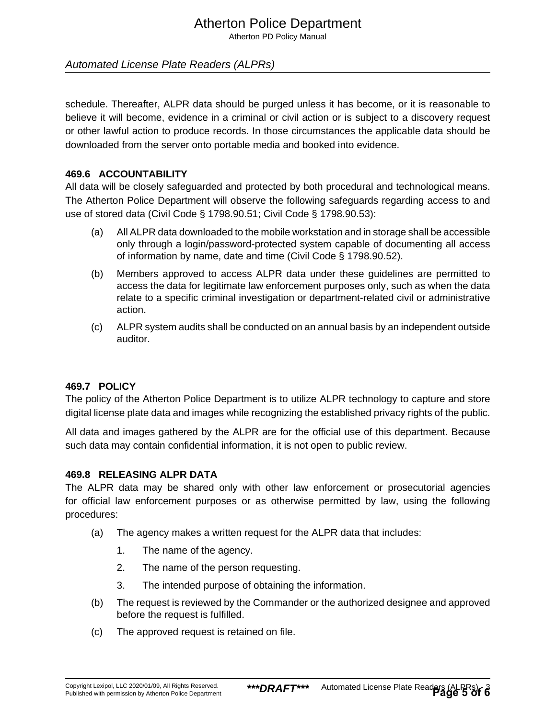# Atherton Police Department

Atherton PD Policy Manual

## Automated License Plate Readers (ALPRs)

schedule. Thereafter, ALPR data should be purged unless it has become, or it is reasonable to believe it will become, evidence in a criminal or civil action or is subject to a discovery request or other lawful action to produce records. In those circumstances the applicable data should be downloaded from the server onto portable media and booked into evidence.

#### **469.6 ACCOUNTABILITY**

All data will be closely safeguarded and protected by both procedural and technological means. The Atherton Police Department will observe the following safeguards regarding access to and use of stored data (Civil Code § 1798.90.51; Civil Code § 1798.90.53):

- (a) All ALPR data downloaded to the mobile workstation and in storage shall be accessible only through a login/password-protected system capable of documenting all access of information by name, date and time (Civil Code § 1798.90.52).
- (b) Members approved to access ALPR data under these guidelines are permitted to access the data for legitimate law enforcement purposes only, such as when the data relate to a specific criminal investigation or department-related civil or administrative action.
- (c) ALPR system audits shall be conducted on an annual basis by an independent outside auditor.

## **469.7 POLICY**

The policy of the Atherton Police Department is to utilize ALPR technology to capture and store digital license plate data and images while recognizing the established privacy rights of the public.

All data and images gathered by the ALPR are for the official use of this department. Because such data may contain confidential information, it is not open to public review.

#### **469.8 RELEASING ALPR DATA**

The ALPR data may be shared only with other law enforcement or prosecutorial agencies for official law enforcement purposes or as otherwise permitted by law, using the following procedures:

- (a) The agency makes a written request for the ALPR data that includes:
	- 1. The name of the agency.
	- 2. The name of the person requesting.
	- 3. The intended purpose of obtaining the information.
- (b) The request is reviewed by the Commander or the authorized designee and approved before the request is fulfilled.
- (c) The approved request is retained on file.